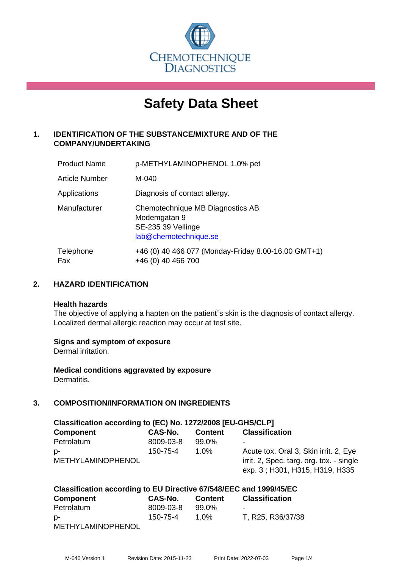

# **Safety Data Sheet**

# **1. IDENTIFICATION OF THE SUBSTANCE/MIXTURE AND OF THE COMPANY/UNDERTAKING**

| <b>Product Name</b>   | p-METHYLAMINOPHENOL 1.0% pet                                                                    |
|-----------------------|-------------------------------------------------------------------------------------------------|
| <b>Article Number</b> | M-040                                                                                           |
| Applications          | Diagnosis of contact allergy.                                                                   |
| Manufacturer          | Chemotechnique MB Diagnostics AB<br>Modemgatan 9<br>SE-235 39 Vellinge<br>lab@chemotechnique.se |
| Telephone<br>Fax      | +46 (0) 40 466 077 (Monday-Friday 8.00-16.00 GMT+1)<br>+46 (0) 40 466 700                       |

## **2. HAZARD IDENTIFICATION**

#### **Health hazards**

The objective of applying a hapten on the patient's skin is the diagnosis of contact allergy. Localized dermal allergic reaction may occur at test site.

#### **Signs and symptom of exposure**

Dermal irritation.

**Medical conditions aggravated by exposure** Dermatitis.

# **3. COMPOSITION/INFORMATION ON INGREDIENTS**

| Classification according to (EC) No. 1272/2008 [EU-GHS/CLP] |           |                |                                          |  |
|-------------------------------------------------------------|-----------|----------------|------------------------------------------|--|
| <b>Component</b>                                            | CAS-No.   | <b>Content</b> | <b>Classification</b>                    |  |
| Petrolatum                                                  | 8009-03-8 | 99.0%          | $\overline{\phantom{a}}$                 |  |
| -p                                                          | 150-75-4  | $1.0\%$        | Acute tox. Oral 3, Skin irrit. 2, Eye    |  |
| <b>METHYLAMINOPHENOL</b>                                    |           |                | irrit. 2, Spec. targ. org. tox. - single |  |
|                                                             |           |                | exp. 3; H301, H315, H319, H335           |  |

| Classification according to EU Directive 67/548/EEC and 1999/45/EC |           |         |                       |  |
|--------------------------------------------------------------------|-----------|---------|-----------------------|--|
| <b>Component</b>                                                   | CAS-No.   | Content | <b>Classification</b> |  |
| Petrolatum                                                         | 8009-03-8 | 99.0%   |                       |  |
| D-                                                                 | 150-75-4  | $1.0\%$ | T, R25, R36/37/38     |  |
| <b>METHYLAMINOPHENOL</b>                                           |           |         |                       |  |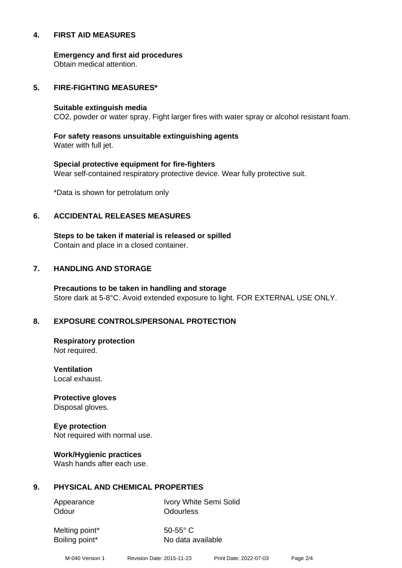#### **4. FIRST AID MEASURES**

**Emergency and first aid procedures**

Obtain medical attention.

#### **5. FIRE-FIGHTING MEASURES\***

#### **Suitable extinguish media**

CO2, powder or water spray. Fight larger fires with water spray or alcohol resistant foam.

# **For safety reasons unsuitable extinguishing agents**

Water with full jet.

# **Special protective equipment for fire-fighters** Wear self-contained respiratory protective device. Wear fully protective suit.

\*Data is shown for petrolatum only

## **6. ACCIDENTAL RELEASES MEASURES**

**Steps to be taken if material is released or spilled** Contain and place in a closed container.

# **7. HANDLING AND STORAGE**

**Precautions to be taken in handling and storage** Store dark at 5-8°C. Avoid extended exposure to light. FOR EXTERNAL USE ONLY.

# **8. EXPOSURE CONTROLS/PERSONAL PROTECTION**

**Respiratory protection** Not required.

**Ventilation** Local exhaust.

**Protective gloves** Disposal gloves.

# **Eye protection**

Not required with normal use.

#### **Work/Hygienic practices**

Wash hands after each use.

#### **9. PHYSICAL AND CHEMICAL PROPERTIES**

Odour **Odourless** 

Appearance Ivory White Semi Solid

Melting point\* 50-55° C

Boiling point\* No data available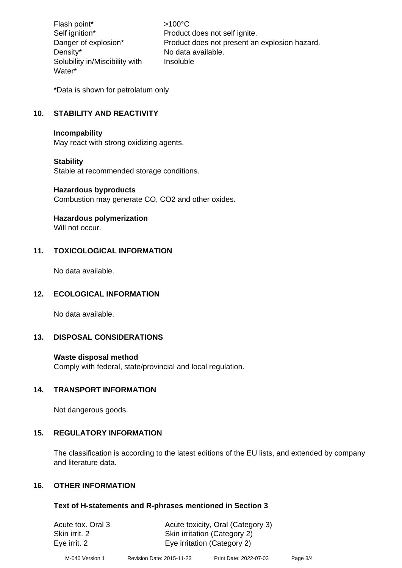Flash point\* >100°C Density\* No data available. Solubility in/Miscibility with Water\*

Self ignition\* Product does not self ignite. Danger of explosion\* Product does not present an explosion hazard. Insoluble

\*Data is shown for petrolatum only

# **10. STABILITY AND REACTIVITY**

#### **Incompability**

May react with strong oxidizing agents.

#### **Stability**

Stable at recommended storage conditions.

#### **Hazardous byproducts**

Combustion may generate CO, CO2 and other oxides.

#### **Hazardous polymerization**

Will not occur.

#### **11. TOXICOLOGICAL INFORMATION**

No data available.

#### **12. ECOLOGICAL INFORMATION**

No data available.

#### **13. DISPOSAL CONSIDERATIONS**

#### **Waste disposal method**

Comply with federal, state/provincial and local regulation.

#### **14. TRANSPORT INFORMATION**

Not dangerous goods.

#### **15. REGULATORY INFORMATION**

The classification is according to the latest editions of the EU lists, and extended by company and literature data.

#### **16. OTHER INFORMATION**

#### **Text of H-statements and R-phrases mentioned in Section 3**

| Acute tox. Oral 3 | Acute toxicity, Oral (Category 3) |
|-------------------|-----------------------------------|
| Skin irrit. 2     | Skin irritation (Category 2)      |
| Eye irrit. 2      | Eye irritation (Category 2)       |